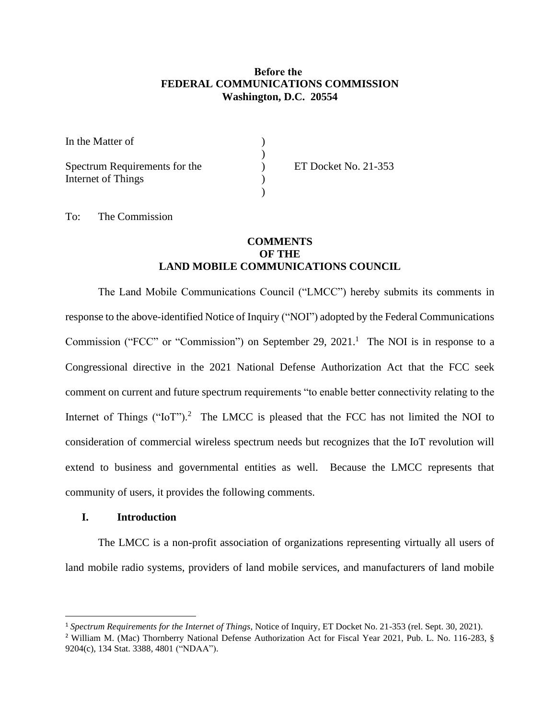## **Before the FEDERAL COMMUNICATIONS COMMISSION Washington, D.C. 20554**

| In the Matter of              |                             |
|-------------------------------|-----------------------------|
|                               |                             |
| Spectrum Requirements for the | <b>ET Docket No. 21-353</b> |
| Internet of Things            |                             |
|                               |                             |

To: The Commission

# **COMMENTS OF THE LAND MOBILE COMMUNICATIONS COUNCIL**

The Land Mobile Communications Council ("LMCC") hereby submits its comments in response to the above-identified Notice of Inquiry ("NOI") adopted by the Federal Communications Commission ("FCC" or "Commission") on September 29, 2021.<sup>1</sup> The NOI is in response to a Congressional directive in the 2021 National Defense Authorization Act that the FCC seek comment on current and future spectrum requirements "to enable better connectivity relating to the Internet of Things ("IoT").<sup>2</sup> The LMCC is pleased that the FCC has not limited the NOI to consideration of commercial wireless spectrum needs but recognizes that the IoT revolution will extend to business and governmental entities as well. Because the LMCC represents that community of users, it provides the following comments.

#### **I. Introduction**

The LMCC is a non-profit association of organizations representing virtually all users of land mobile radio systems, providers of land mobile services, and manufacturers of land mobile

<sup>1</sup> *Spectrum Requirements for the Internet of Things*, Notice of Inquiry, ET Docket No. 21-353 (rel. Sept. 30, 2021).

<sup>2</sup> William M. (Mac) Thornberry National Defense Authorization Act for Fiscal Year 2021, Pub. L. No. 116-283, § 9204(c), 134 Stat. 3388, 4801 ("NDAA").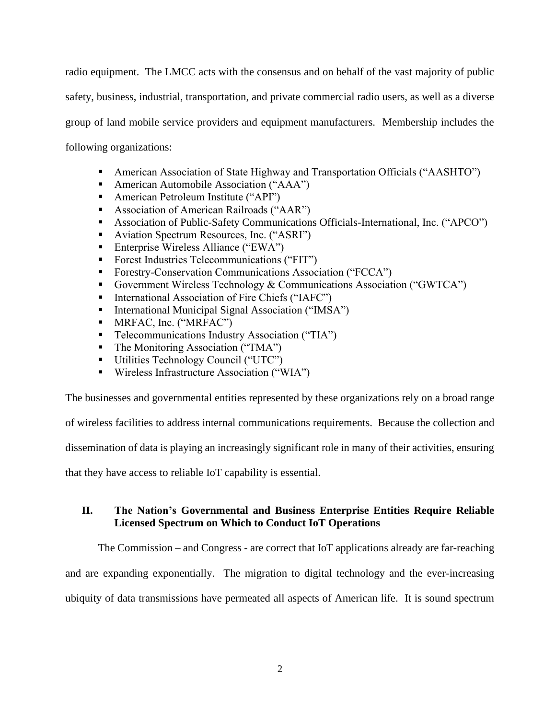radio equipment. The LMCC acts with the consensus and on behalf of the vast majority of public safety, business, industrial, transportation, and private commercial radio users, as well as a diverse group of land mobile service providers and equipment manufacturers. Membership includes the following organizations:

- American Association of State Highway and Transportation Officials ("AASHTO")
- American Automobile Association ("AAA")
- American Petroleum Institute ("API")
- Association of American Railroads ("AAR")
- Association of Public-Safety Communications Officials-International, Inc. ("APCO")
- Aviation Spectrum Resources, Inc. ("ASRI")
- Enterprise Wireless Alliance ("EWA")
- Forest Industries Telecommunications ("FIT")
- Forestry-Conservation Communications Association ("FCCA")
- Government Wireless Technology & Communications Association ("GWTCA")
- International Association of Fire Chiefs ("IAFC")
- International Municipal Signal Association ("IMSA")
- MRFAC, Inc. ("MRFAC")
- Telecommunications Industry Association ("TIA")
- The Monitoring Association ("TMA")
- Utilities Technology Council ("UTC")
- Wireless Infrastructure Association ("WIA")

The businesses and governmental entities represented by these organizations rely on a broad range

of wireless facilities to address internal communications requirements. Because the collection and

dissemination of data is playing an increasingly significant role in many of their activities, ensuring

that they have access to reliable IoT capability is essential.

## **II. The Nation's Governmental and Business Enterprise Entities Require Reliable Licensed Spectrum on Which to Conduct IoT Operations**

The Commission – and Congress - are correct that IoT applications already are far-reaching and are expanding exponentially. The migration to digital technology and the ever-increasing ubiquity of data transmissions have permeated all aspects of American life. It is sound spectrum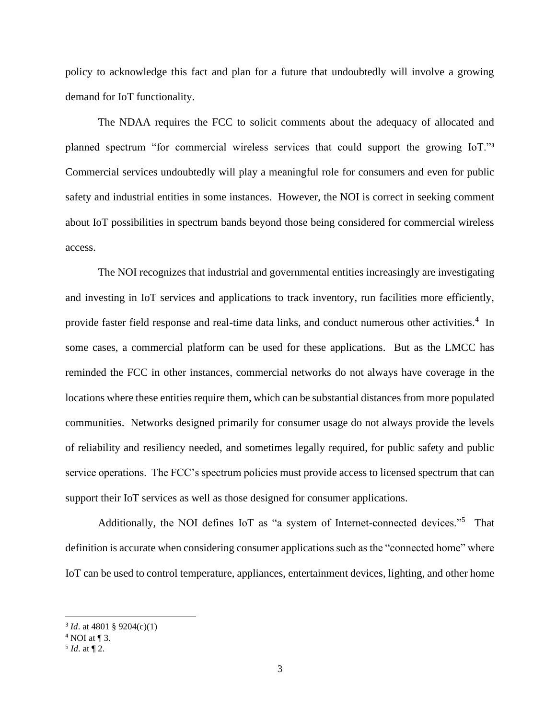policy to acknowledge this fact and plan for a future that undoubtedly will involve a growing demand for IoT functionality.

The NDAA requires the FCC to solicit comments about the adequacy of allocated and planned spectrum "for commercial wireless services that could support the growing IoT."**<sup>3</sup>** Commercial services undoubtedly will play a meaningful role for consumers and even for public safety and industrial entities in some instances. However, the NOI is correct in seeking comment about IoT possibilities in spectrum bands beyond those being considered for commercial wireless access.

The NOI recognizes that industrial and governmental entities increasingly are investigating and investing in IoT services and applications to track inventory, run facilities more efficiently, provide faster field response and real-time data links, and conduct numerous other activities.<sup>4</sup> In some cases, a commercial platform can be used for these applications. But as the LMCC has reminded the FCC in other instances, commercial networks do not always have coverage in the locations where these entities require them, which can be substantial distances from more populated communities. Networks designed primarily for consumer usage do not always provide the levels of reliability and resiliency needed, and sometimes legally required, for public safety and public service operations. The FCC's spectrum policies must provide access to licensed spectrum that can support their IoT services as well as those designed for consumer applications.

Additionally, the NOI defines IoT as "a system of Internet-connected devices."<sup>5</sup> That definition is accurate when considering consumer applications such as the "connected home" where IoT can be used to control temperature, appliances, entertainment devices, lighting, and other home

<sup>3</sup> *Id*. at 4801 § 9204(c)(1)

 $4$  NOI at  $\P$  3.

 $<sup>5</sup>$  *Id.* at  $\P$  2.</sup>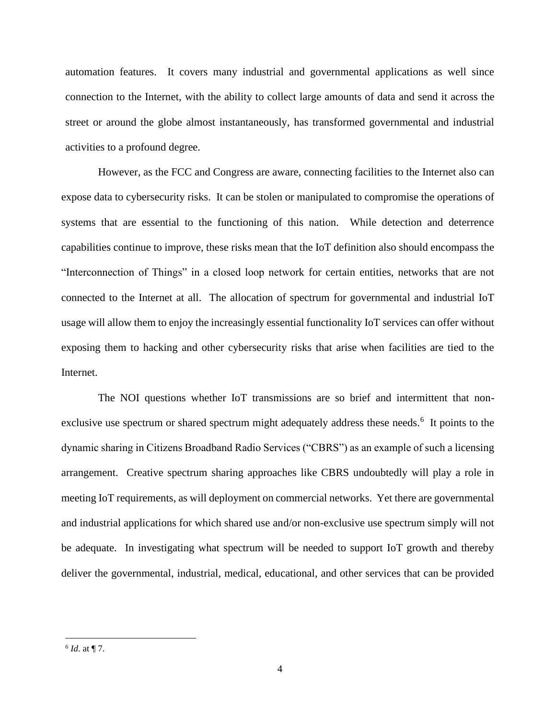automation features. It covers many industrial and governmental applications as well since connection to the Internet, with the ability to collect large amounts of data and send it across the street or around the globe almost instantaneously, has transformed governmental and industrial activities to a profound degree.

However, as the FCC and Congress are aware, connecting facilities to the Internet also can expose data to cybersecurity risks. It can be stolen or manipulated to compromise the operations of systems that are essential to the functioning of this nation. While detection and deterrence capabilities continue to improve, these risks mean that the IoT definition also should encompass the "Interconnection of Things" in a closed loop network for certain entities, networks that are not connected to the Internet at all. The allocation of spectrum for governmental and industrial IoT usage will allow them to enjoy the increasingly essential functionality IoT services can offer without exposing them to hacking and other cybersecurity risks that arise when facilities are tied to the Internet.

The NOI questions whether IoT transmissions are so brief and intermittent that nonexclusive use spectrum or shared spectrum might adequately address these needs.<sup>6</sup> It points to the dynamic sharing in Citizens Broadband Radio Services ("CBRS") as an example of such a licensing arrangement. Creative spectrum sharing approaches like CBRS undoubtedly will play a role in meeting IoT requirements, as will deployment on commercial networks. Yet there are governmental and industrial applications for which shared use and/or non-exclusive use spectrum simply will not be adequate. In investigating what spectrum will be needed to support IoT growth and thereby deliver the governmental, industrial, medical, educational, and other services that can be provided